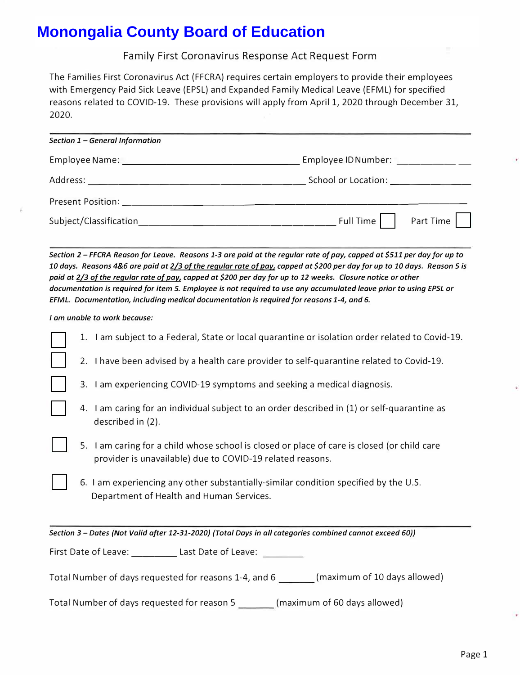| Section 1 - General Information                                                                                |                                                                                                                                                                                                                                |
|----------------------------------------------------------------------------------------------------------------|--------------------------------------------------------------------------------------------------------------------------------------------------------------------------------------------------------------------------------|
| Employee Name: The Contract of the Contract of the Contract of the Contract of the Contract of the Contract of | Employee ID Number: The contract of the contract of the contract of the contract of the contract of the contract of the contract of the contract of the contract of the contract of the contract of the contract of the contra |
| Address:                                                                                                       | School or Location: _______________                                                                                                                                                                                            |
|                                                                                                                |                                                                                                                                                                                                                                |
| Subject/Classification                                                                                         | Full Time<br>Part Time                                                                                                                                                                                                         |

|                                                                | Family First Coronavirus Response Act Request Form                                                                                                                                                                                                                                                                                                                                                                                                                                                                                                                                 |
|----------------------------------------------------------------|------------------------------------------------------------------------------------------------------------------------------------------------------------------------------------------------------------------------------------------------------------------------------------------------------------------------------------------------------------------------------------------------------------------------------------------------------------------------------------------------------------------------------------------------------------------------------------|
| 2020.                                                          | The Families First Coronavirus Act (FFCRA) requires certain employers to provide their employees<br>with Emergency Paid Sick Leave (EPSL) and Expanded Family Medical Leave (EFML) for specified<br>reasons related to COVID-19. These provisions will apply from April 1, 2020 through December 31,                                                                                                                                                                                                                                                                               |
| Section 1 - General Information                                |                                                                                                                                                                                                                                                                                                                                                                                                                                                                                                                                                                                    |
|                                                                |                                                                                                                                                                                                                                                                                                                                                                                                                                                                                                                                                                                    |
|                                                                |                                                                                                                                                                                                                                                                                                                                                                                                                                                                                                                                                                                    |
|                                                                |                                                                                                                                                                                                                                                                                                                                                                                                                                                                                                                                                                                    |
|                                                                | Part Time                                                                                                                                                                                                                                                                                                                                                                                                                                                                                                                                                                          |
|                                                                | Section 2 - FFCRA Reason for Leave. Reasons 1-3 are paid at the regular rate of pay, capped at \$511 per day for up to<br>10 days. Reasons 4&6 are paid at 2/3 of the regular rate of pay, capped at \$200 per day for up to 10 days. Reason 5 is<br>paid at 2/3 of the regular rate of pay, capped at \$200 per day for up to 12 weeks. Closure notice or other<br>documentation is required for item 5. Employee is not required to use any accumulated leave prior to using EPSL or<br>EFML. Documentation, including medical documentation is required for reasons 1-4, and 6. |
| I am unable to work because:                                   |                                                                                                                                                                                                                                                                                                                                                                                                                                                                                                                                                                                    |
|                                                                | 1. I am subject to a Federal, State or local quarantine or isolation order related to Covid-19.                                                                                                                                                                                                                                                                                                                                                                                                                                                                                    |
|                                                                | 2. I have been advised by a health care provider to self-quarantine related to Covid-19.                                                                                                                                                                                                                                                                                                                                                                                                                                                                                           |
|                                                                |                                                                                                                                                                                                                                                                                                                                                                                                                                                                                                                                                                                    |
|                                                                | 3. I am experiencing COVID-19 symptoms and seeking a medical diagnosis.                                                                                                                                                                                                                                                                                                                                                                                                                                                                                                            |
| described in (2).                                              | 4. I am caring for an individual subject to an order described in (1) or self-quarantine as                                                                                                                                                                                                                                                                                                                                                                                                                                                                                        |
|                                                                | 5. I am caring for a child whose school is closed or place of care is closed (or child care<br>provider is unavailable) due to COVID-19 related reasons.                                                                                                                                                                                                                                                                                                                                                                                                                           |
| Department of Health and Human Services.                       | 6. I am experiencing any other substantially-similar condition specified by the U.S.                                                                                                                                                                                                                                                                                                                                                                                                                                                                                               |
|                                                                | Section 3 - Dates (Not Valid after 12-31-2020) (Total Days in all categories combined cannot exceed 60))                                                                                                                                                                                                                                                                                                                                                                                                                                                                           |
| First Date of Leave: ___________ Last Date of Leave: _________ |                                                                                                                                                                                                                                                                                                                                                                                                                                                                                                                                                                                    |
|                                                                | Total Number of days requested for reasons 1-4, and 6 ________ (maximum of 10 days allowed)                                                                                                                                                                                                                                                                                                                                                                                                                                                                                        |
|                                                                | Total Number of days requested for reason 5 ________ (maximum of 60 days allowed)                                                                                                                                                                                                                                                                                                                                                                                                                                                                                                  |